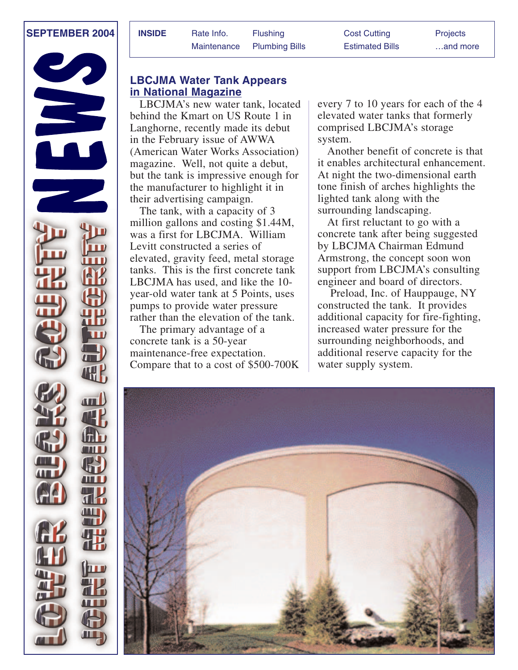

| <b>INSIDE</b> | Rate Info. | <b>Flushing</b>            | <b>Cost Cutting</b>    | <b>Projects</b> |
|---------------|------------|----------------------------|------------------------|-----------------|
|               |            | Maintenance Plumbing Bills | <b>Estimated Bills</b> | and more        |

# **LBCJMA Water Tank Appears in National Magazine**

LBCJMA's new water tank, located behind the Kmart on US Route 1 in Langhorne, recently made its debut in the February issue of AWWA (American Water Works Association) magazine. Well, not quite a debut, but the tank is impressive enough for the manufacturer to highlight it in their advertising campaign.

The tank, with a capacity of 3 million gallons and costing \$1.44M, was a first for LBCJMA. William Levitt constructed a series of elevated, gravity feed, metal storage tanks. This is the first concrete tank LBCJMA has used, and like the 10 year-old water tank at 5 Points, uses pumps to provide water pressure rather than the elevation of the tank.

The primary advantage of a concrete tank is a 50-year maintenance-free expectation. Compare that to a cost of \$500-700K every 7 to 10 years for each of the 4 elevated water tanks that formerly comprised LBCJMA's storage system.

Another benefit of concrete is that it enables architectural enhancement. At night the two-dimensional earth tone finish of arches highlights the lighted tank along with the surrounding landscaping.

At first reluctant to go with a concrete tank after being suggested by LBCJMA Chairman Edmund Armstrong, the concept soon won support from LBCJMA's consulting engineer and board of directors.

Preload, Inc. of Hauppauge, NY constructed the tank. It provides additional capacity for fire-fighting, increased water pressure for the surrounding neighborhoods, and additional reserve capacity for the water supply system.

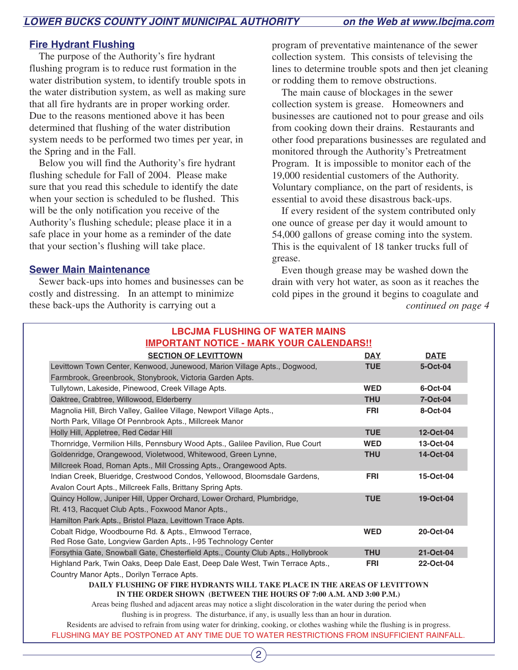# **Fire Hydrant Flushing**

The purpose of the Authority's fire hydrant flushing program is to reduce rust formation in the water distribution system, to identify trouble spots in the water distribution system, as well as making sure that all fire hydrants are in proper working order. Due to the reasons mentioned above it has been determined that flushing of the water distribution system needs to be performed two times per year, in the Spring and in the Fall.

Below you will find the Authority's fire hydrant flushing schedule for Fall of 2004. Please make sure that you read this schedule to identify the date when your section is scheduled to be flushed. This will be the only notification you receive of the Authority's flushing schedule; please place it in a safe place in your home as a reminder of the date that your section's flushing will take place.

### **Sewer Main Maintenance**

Sewer back-ups into homes and businesses can be costly and distressing. In an attempt to minimize these back-ups the Authority is carrying out a

program of preventative maintenance of the sewer collection system. This consists of televising the lines to determine trouble spots and then jet cleaning or rodding them to remove obstructions.

The main cause of blockages in the sewer collection system is grease. Homeowners and businesses are cautioned not to pour grease and oils from cooking down their drains. Restaurants and other food preparations businesses are regulated and monitored through the Authority's Pretreatment Program. It is impossible to monitor each of the 19,000 residential customers of the Authority. Voluntary compliance, on the part of residents, is essential to avoid these disastrous back-ups.

If every resident of the system contributed only one ounce of grease per day it would amount to 54,000 gallons of grease coming into the system. This is the equivalent of 18 tanker trucks full of grease.

Even though grease may be washed down the drain with very hot water, as soon as it reaches the cold pipes in the ground it begins to coagulate and *continued on page 4*

| <b>LBCJMA FLUSHING OF WATER MAINS</b><br><b>IMPORTANT NOTICE - MARK YOUR CALENDARS!!</b>                                                     |            |             |  |  |
|----------------------------------------------------------------------------------------------------------------------------------------------|------------|-------------|--|--|
| <b>SECTION OF LEVITTOWN</b>                                                                                                                  | <b>DAY</b> | <b>DATE</b> |  |  |
| Levittown Town Center, Kenwood, Junewood, Marion Village Apts., Dogwood,                                                                     | <b>TUE</b> | 5-Oct-04    |  |  |
| Farmbrook, Greenbrook, Stonybrook, Victoria Garden Apts.                                                                                     |            |             |  |  |
| Tullytown, Lakeside, Pinewood, Creek Village Apts.                                                                                           | <b>WED</b> | 6-Oct-04    |  |  |
| Oaktree, Crabtree, Willowood, Elderberry                                                                                                     | <b>THU</b> | 7-Oct-04    |  |  |
| Magnolia Hill, Birch Valley, Galilee Village, Newport Village Apts.,                                                                         | <b>FRI</b> | 8-Oct-04    |  |  |
| North Park, Village Of Pennbrook Apts., Millcreek Manor                                                                                      |            |             |  |  |
| Holly Hill, Appletree, Red Cedar Hill                                                                                                        | <b>TUE</b> | 12-Oct-04   |  |  |
| Thornridge, Vermilion Hills, Pennsbury Wood Apts., Galilee Pavilion, Rue Court                                                               | <b>WED</b> | 13-Oct-04   |  |  |
| Goldenridge, Orangewood, Violetwood, Whitewood, Green Lynne,                                                                                 | <b>THU</b> | 14-Oct-04   |  |  |
| Millcreek Road, Roman Apts., Mill Crossing Apts., Orangewood Apts.                                                                           |            |             |  |  |
| Indian Creek, Blueridge, Crestwood Condos, Yellowood, Bloomsdale Gardens,                                                                    | <b>FRI</b> | 15-Oct-04   |  |  |
| Avalon Court Apts., Millcreek Falls, Brittany Spring Apts.                                                                                   |            |             |  |  |
| Quincy Hollow, Juniper Hill, Upper Orchard, Lower Orchard, Plumbridge,                                                                       | <b>TUE</b> | 19-Oct-04   |  |  |
| Rt. 413, Racquet Club Apts., Foxwood Manor Apts.,                                                                                            |            |             |  |  |
| Hamilton Park Apts., Bristol Plaza, Levittown Trace Apts.                                                                                    |            |             |  |  |
| Cobalt Ridge, Woodbourne Rd. & Apts., Elmwood Terrace,                                                                                       | <b>WED</b> | 20-Oct-04   |  |  |
| Red Rose Gate, Longview Garden Apts., I-95 Technology Center                                                                                 |            |             |  |  |
| Forsythia Gate, Snowball Gate, Chesterfield Apts., County Club Apts., Hollybrook                                                             | <b>THU</b> | 21-Oct-04   |  |  |
| Highland Park, Twin Oaks, Deep Dale East, Deep Dale West, Twin Terrace Apts.,                                                                | <b>FRI</b> | 22-Oct-04   |  |  |
| Country Manor Apts., Dorilyn Terrace Apts.                                                                                                   |            |             |  |  |
| DAILY FLUSHING OF FIRE HYDRANTS WILL TAKE PLACE IN THE AREAS OF LEVITTOWN<br>IN THE ODDED CHOWN (RETWEEN THE HOUDS OF 7.00 A M AND 3.00 D M) |            |             |  |  |

**IN THE HOURS OF 7:00 A.M. AND 3:00 P.M.**)

Areas being flushed and adjacent areas may notice a slight discoloration in the water during the period when flushing is in progress. The disturbance, if any, is usually less than an hour in duration.

FLUSHING MAY BE POSTPONED AT ANY TIME DUE TO WATER RESTRICTIONS FROM INSUFFICIENT RAINFALL. Residents are advised to refrain from using water for drinking, cooking, or clothes washing while the flushing is in progress.

2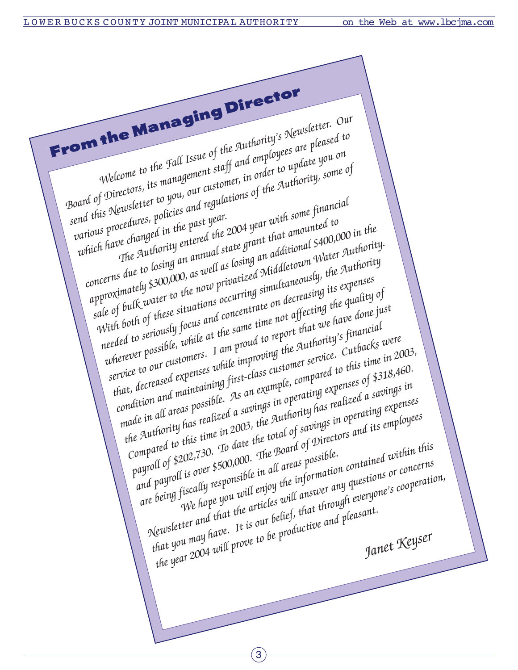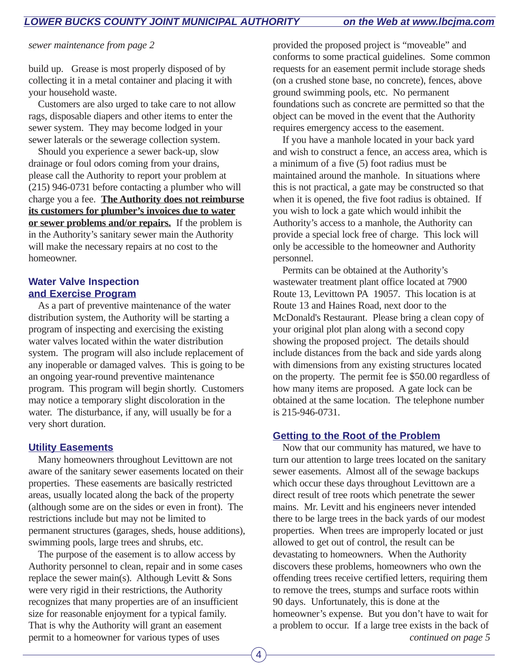*sewer maintenance from page 2*

build up. Grease is most properly disposed of by collecting it in a metal container and placing it with your household waste.

Customers are also urged to take care to not allow rags, disposable diapers and other items to enter the sewer system. They may become lodged in your sewer laterals or the sewerage collection system.

Should you experience a sewer back-up, slow drainage or foul odors coming from your drains, please call the Authority to report your problem at (215) 946-0731 before contacting a plumber who will charge you a fee. **The Authority does not reimburse its customers for plumber's invoices due to water or sewer problems and/or repairs.** If the problem is in the Authority's sanitary sewer main the Authority will make the necessary repairs at no cost to the homeowner.

### **Water Valve Inspection and Exercise Program**

As a part of preventive maintenance of the water distribution system, the Authority will be starting a program of inspecting and exercising the existing water valves located within the water distribution system. The program will also include replacement of any inoperable or damaged valves. This is going to be an ongoing year-round preventive maintenance program. This program will begin shortly. Customers may notice a temporary slight discoloration in the water. The disturbance, if any, will usually be for a very short duration.

## **Utility Easements**

Many homeowners throughout Levittown are not aware of the sanitary sewer easements located on their properties. These easements are basically restricted areas, usually located along the back of the property (although some are on the sides or even in front). The restrictions include but may not be limited to permanent structures (garages, sheds, house additions), swimming pools, large trees and shrubs, etc.

The purpose of the easement is to allow access by Authority personnel to clean, repair and in some cases replace the sewer main(s). Although Levitt  $&$  Sons were very rigid in their restrictions, the Authority recognizes that many properties are of an insufficient size for reasonable enjoyment for a typical family. That is why the Authority will grant an easement permit to a homeowner for various types of uses

provided the proposed project is "moveable" and conforms to some practical guidelines. Some common requests for an easement permit include storage sheds (on a crushed stone base, no concrete), fences, above ground swimming pools, etc. No permanent foundations such as concrete are permitted so that the object can be moved in the event that the Authority requires emergency access to the easement.

If you have a manhole located in your back yard and wish to construct a fence, an access area, which is a minimum of a five (5) foot radius must be maintained around the manhole. In situations where this is not practical, a gate may be constructed so that when it is opened, the five foot radius is obtained. If you wish to lock a gate which would inhibit the Authority's access to a manhole, the Authority can provide a special lock free of charge. This lock will only be accessible to the homeowner and Authority personnel.

Permits can be obtained at the Authority's wastewater treatment plant office located at 7900 Route 13, Levittown PA 19057. This location is at Route 13 and Haines Road, next door to the McDonald's Restaurant. Please bring a clean copy of your original plot plan along with a second copy showing the proposed project. The details should include distances from the back and side yards along with dimensions from any existing structures located on the property. The permit fee is \$50.00 regardless of how many items are proposed. A gate lock can be obtained at the same location. The telephone number is 215-946-0731.

## **Getting to the Root of the Problem**

Now that our community has matured, we have to turn our attention to large trees located on the sanitary sewer easements. Almost all of the sewage backups which occur these days throughout Levittown are a direct result of tree roots which penetrate the sewer mains. Mr. Levitt and his engineers never intended there to be large trees in the back yards of our modest properties. When trees are improperly located or just allowed to get out of control, the result can be devastating to homeowners. When the Authority discovers these problems, homeowners who own the offending trees receive certified letters, requiring them to remove the trees, stumps and surface roots within 90 days. Unfortunately, this is done at the homeowner's expense. But you don't have to wait for a problem to occur. If a large tree exists in the back of *continued on page 5*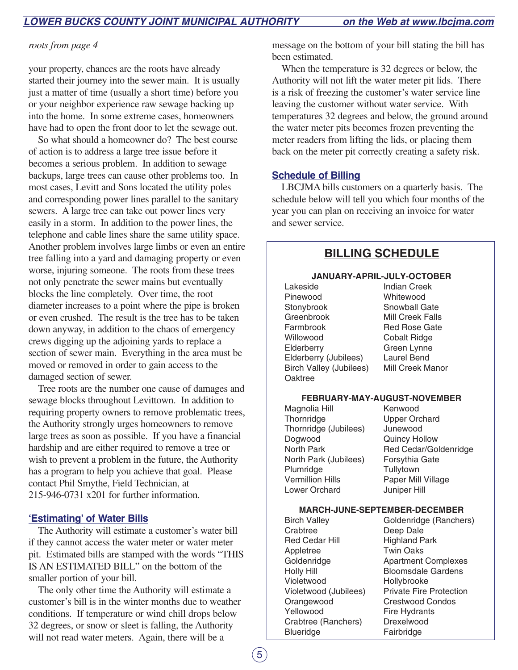### *roots from page 4*

your property, chances are the roots have already started their journey into the sewer main. It is usually just a matter of time (usually a short time) before you or your neighbor experience raw sewage backing up into the home. In some extreme cases, homeowners have had to open the front door to let the sewage out.

So what should a homeowner do? The best course of action is to address a large tree issue before it becomes a serious problem. In addition to sewage backups, large trees can cause other problems too. In most cases, Levitt and Sons located the utility poles and corresponding power lines parallel to the sanitary sewers. A large tree can take out power lines very easily in a storm. In addition to the power lines, the telephone and cable lines share the same utility space. Another problem involves large limbs or even an entire tree falling into a yard and damaging property or even worse, injuring someone. The roots from these trees not only penetrate the sewer mains but eventually blocks the line completely. Over time, the root diameter increases to a point where the pipe is broken or even crushed. The result is the tree has to be taken down anyway, in addition to the chaos of emergency crews digging up the adjoining yards to replace a section of sewer main. Everything in the area must be moved or removed in order to gain access to the damaged section of sewer.

Tree roots are the number one cause of damages and sewage blocks throughout Levittown. In addition to requiring property owners to remove problematic trees, the Authority strongly urges homeowners to remove large trees as soon as possible. If you have a financial hardship and are either required to remove a tree or wish to prevent a problem in the future, the Authority has a program to help you achieve that goal. Please contact Phil Smythe, Field Technician, at 215-946-0731 x201 for further information.

# **'Estimating' of Water Bills**

The Authority will estimate a customer's water bill if they cannot access the water meter or water meter pit. Estimated bills are stamped with the words "THIS IS AN ESTIMATED BILL" on the bottom of the smaller portion of your bill.

The only other time the Authority will estimate a customer's bill is in the winter months due to weather conditions. If temperature or wind chill drops below 32 degrees, or snow or sleet is falling, the Authority will not read water meters. Again, there will be a

message on the bottom of your bill stating the bill has been estimated.

When the temperature is 32 degrees or below, the Authority will not lift the water meter pit lids. There is a risk of freezing the customer's water service line leaving the customer without water service. With temperatures 32 degrees and below, the ground around the water meter pits becomes frozen preventing the meter readers from lifting the lids, or placing them back on the meter pit correctly creating a safety risk.

# **Schedule of Billing**

LBCJMA bills customers on a quarterly basis. The schedule below will tell you which four months of the year you can plan on receiving an invoice for water and sewer service.

# **BILLING SCHEDULE**

#### **JANUARY-APRIL-JULY-OCTOBER**

Lakeside Indian Creek Pinewood Whitewood Stonybrook Snowball Gate Greenbrook Mill Creek Falls Farmbrook Red Rose Gate Willowood Cobalt Ridge Elderberry Green Lynne Elderberry (Jubilees) Laurel Bend Birch Valley (Jubilees) Mill Creek Manor **Oaktree** 

#### **FEBRUARY-MAY-AUGUST-NOVEMBER**

| Magnolia Hill           | Κ  |
|-------------------------|----|
| Thornridge              | U  |
| Thornridge (Jubilees)   | J١ |
| Dogwood                 | Q  |
| <b>North Park</b>       | R  |
| North Park (Jubilees)   | F  |
| Plumridge               | т  |
| <b>Vermillion Hills</b> | Ρ  |
| Lower Orchard           | J١ |

ienwood pper Orchard unewood luincy Hollow ed Cedar/Goldenridge orsythia Gate iullytown 'aper Mill Village uniper Hill

#### **MARCH-JUNE-SEPTEMBER-DECEMBER**

| <b>Birch Valley</b>   | Goldenridge (Ranchers)         |  |  |
|-----------------------|--------------------------------|--|--|
| Crabtree              | Deep Dale                      |  |  |
| <b>Red Cedar Hill</b> | <b>Highland Park</b>           |  |  |
| Appletree             | <b>Twin Oaks</b>               |  |  |
| Goldenridge           | <b>Apartment Complexes</b>     |  |  |
| <b>Holly Hill</b>     | <b>Bloomsdale Gardens</b>      |  |  |
| Violetwood            | Hollybrooke                    |  |  |
| Violetwood (Jubilees) | <b>Private Fire Protection</b> |  |  |
| Orangewood            | <b>Crestwood Condos</b>        |  |  |
| Yellowood             | <b>Fire Hydrants</b>           |  |  |
| Crabtree (Ranchers)   | Drexelwood                     |  |  |
| <b>Blueridge</b>      | Fairbridge                     |  |  |
|                       |                                |  |  |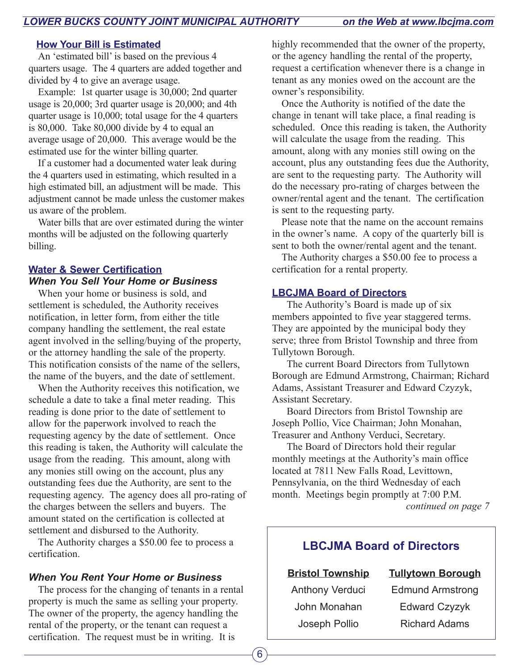## **How Your Bill is Estimated**

An 'estimated bill' is based on the previous 4 quarters usage. The 4 quarters are added together and divided by 4 to give an average usage.

Example: 1st quarter usage is 30,000; 2nd quarter usage is 20,000; 3rd quarter usage is 20,000; and 4th quarter usage is 10,000; total usage for the 4 quarters is 80,000. Take 80,000 divide by 4 to equal an average usage of 20,000. This average would be the estimated use for the winter billing quarter.

If a customer had a documented water leak during the 4 quarters used in estimating, which resulted in a high estimated bill, an adjustment will be made. This adjustment cannot be made unless the customer makes us aware of the problem.

Water bills that are over estimated during the winter months will be adjusted on the following quarterly billing.

# **Water & Sewer Certification** *When You Sell Your Home or Business*

When your home or business is sold, and settlement is scheduled, the Authority receives notification, in letter form, from either the title company handling the settlement, the real estate agent involved in the selling/buying of the property, or the attorney handling the sale of the property. This notification consists of the name of the sellers, the name of the buyers, and the date of settlement.

When the Authority receives this notification, we schedule a date to take a final meter reading. This reading is done prior to the date of settlement to allow for the paperwork involved to reach the requesting agency by the date of settlement. Once this reading is taken, the Authority will calculate the usage from the reading. This amount, along with any monies still owing on the account, plus any outstanding fees due the Authority, are sent to the requesting agency. The agency does all pro-rating of the charges between the sellers and buyers. The amount stated on the certification is collected at settlement and disbursed to the Authority.

The Authority charges a \$50.00 fee to process a certification.

## *When You Rent Your Home or Business*

The process for the changing of tenants in a rental property is much the same as selling your property. The owner of the property, the agency handling the rental of the property, or the tenant can request a certification. The request must be in writing. It is

highly recommended that the owner of the property, or the agency handling the rental of the property, request a certification whenever there is a change in tenant as any monies owed on the account are the owner's responsibility.

Once the Authority is notified of the date the change in tenant will take place, a final reading is scheduled. Once this reading is taken, the Authority will calculate the usage from the reading. This amount, along with any monies still owing on the account, plus any outstanding fees due the Authority, are sent to the requesting party. The Authority will do the necessary pro-rating of charges between the owner/rental agent and the tenant. The certification is sent to the requesting party.

Please note that the name on the account remains in the owner's name. A copy of the quarterly bill is sent to both the owner/rental agent and the tenant.

The Authority charges a \$50.00 fee to process a certification for a rental property.

## **LBCJMA Board of Directors**

The Authority's Board is made up of six members appointed to five year staggered terms. They are appointed by the municipal body they serve; three from Bristol Township and three from Tullytown Borough.

The current Board Directors from Tullytown Borough are Edmund Armstrong, Chairman; Richard Adams, Assistant Treasurer and Edward Czyzyk, Assistant Secretary.

Board Directors from Bristol Township are Joseph Pollio, Vice Chairman; John Monahan, Treasurer and Anthony Verduci, Secretary.

The Board of Directors hold their regular monthly meetings at the Authority's main office located at 7811 New Falls Road, Levittown, Pennsylvania, on the third Wednesday of each month. Meetings begin promptly at 7:00 P.M. *continued on page 7*

# **LBCJMA Board of Directors**

**Bristol Township Tullytown Borough**

Anthony Verduci Edmund Armstrong John Monahan Edward Czyzyk Joseph Pollio Richard Adams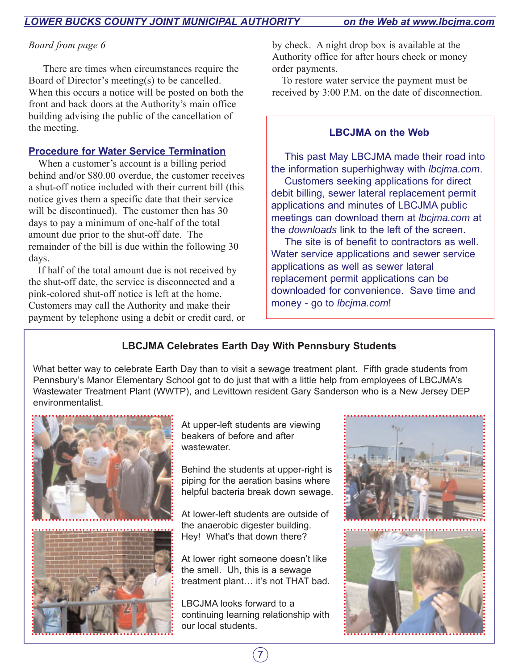# *Board from page 6*

There are times when circumstances require the Board of Director's meeting(s) to be cancelled. When this occurs a notice will be posted on both the front and back doors at the Authority's main office building advising the public of the cancellation of the meeting.

# **Procedure for Water Service Termination**

When a customer's account is a billing period behind and/or \$80.00 overdue, the customer receives a shut-off notice included with their current bill (this notice gives them a specific date that their service will be discontinued). The customer then has 30 days to pay a minimum of one-half of the total amount due prior to the shut-off date. The remainder of the bill is due within the following 30 days.

If half of the total amount due is not received by the shut-off date, the service is disconnected and a pink-colored shut-off notice is left at the home. Customers may call the Authority and make their payment by telephone using a debit or credit card, or by check. A night drop box is available at the Authority office for after hours check or money order payments.

To restore water service the payment must be received by 3:00 P.M. on the date of disconnection.

# **LBCJMA on the Web**

This past May LBCJMA made their road into the information superhighway with lbcjma.com.

Customers seeking applications for direct debit billing, sewer lateral replacement permit applications and minutes of LBCJMA public meetings can download them at lbcjma.com at the downloads link to the left of the screen.

The site is of benefit to contractors as well. Water service applications and sewer service applications as well as sewer lateral replacement permit applications can be downloaded for convenience. Save time and money - go to lbcjma.com!

# **LBCJMA Celebrates Earth Day With Pennsbury Students**

What better way to celebrate Earth Day than to visit a sewage treatment plant. Fifth grade students from Pennsbury's Manor Elementary School got to do just that with a little help from employees of LBCJMA's Wastewater Treatment Plant (WWTP), and Levittown resident Gary Sanderson who is a New Jersey DEP environmentalist.



At upper-left students are viewing beakers of before and after wastewater.

Behind the students at upper-right is piping for the aeration basins where helpful bacteria break down sewage.

At lower-left students are outside of the anaerobic digester building. Hey! What's that down there?

At lower right someone doesn't like the smell. Uh, this is a sewage treatment plant… it's not THAT bad.

LBCJMA looks forward to a continuing learning relationship with our local students.